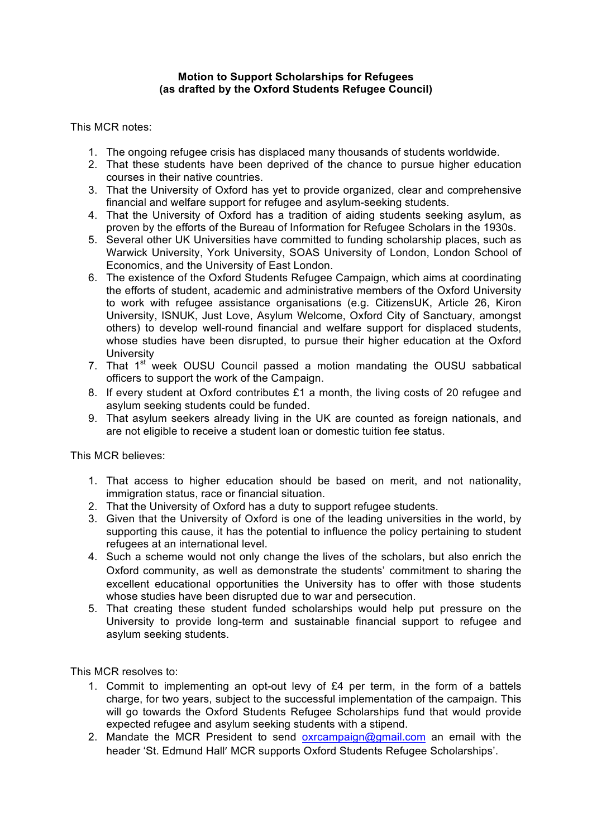## **Motion to Support Scholarships for Refugees (as drafted by the Oxford Students Refugee Council)**

This MCR notes:

- 1. The ongoing refugee crisis has displaced many thousands of students worldwide.
- 2. That these students have been deprived of the chance to pursue higher education courses in their native countries.
- 3. That the University of Oxford has yet to provide organized, clear and comprehensive financial and welfare support for refugee and asylum-seeking students.
- 4. That the University of Oxford has a tradition of aiding students seeking asylum, as proven by the efforts of the Bureau of Information for Refugee Scholars in the 1930s.
- 5. Several other UK Universities have committed to funding scholarship places, such as Warwick University, York University, SOAS University of London, London School of Economics, and the University of East London.
- 6. The existence of the Oxford Students Refugee Campaign, which aims at coordinating the efforts of student, academic and administrative members of the Oxford University to work with refugee assistance organisations (e.g. CitizensUK, Article 26, Kiron University, ISNUK, Just Love, Asylum Welcome, Oxford City of Sanctuary, amongst others) to develop well-round financial and welfare support for displaced students, whose studies have been disrupted, to pursue their higher education at the Oxford **University**
- 7. That 1<sup>st</sup> week OUSU Council passed a motion mandating the OUSU sabbatical officers to support the work of the Campaign.
- 8. If every student at Oxford contributes £1 a month, the living costs of 20 refugee and asylum seeking students could be funded.
- 9. That asylum seekers already living in the UK are counted as foreign nationals, and are not eligible to receive a student loan or domestic tuition fee status.

This MCR believes:

- 1. That access to higher education should be based on merit, and not nationality, immigration status, race or financial situation.
- 2. That the University of Oxford has a duty to support refugee students.
- 3. Given that the University of Oxford is one of the leading universities in the world, by supporting this cause, it has the potential to influence the policy pertaining to student refugees at an international level.
- 4. Such a scheme would not only change the lives of the scholars, but also enrich the Oxford community, as well as demonstrate the students' commitment to sharing the excellent educational opportunities the University has to offer with those students whose studies have been disrupted due to war and persecution.
- 5. That creating these student funded scholarships would help put pressure on the University to provide long-term and sustainable financial support to refugee and asylum seeking students.

This MCR resolves to:

- 1. Commit to implementing an opt-out levy of £4 per term, in the form of a battels charge, for two years, subject to the successful implementation of the campaign. This will go towards the Oxford Students Refugee Scholarships fund that would provide expected refugee and asylum seeking students with a stipend.
- 2. Mandate the MCR President to send oxrcampaign@gmail.com an email with the header 'St. Edmund Hall' MCR supports Oxford Students Refugee Scholarships'.